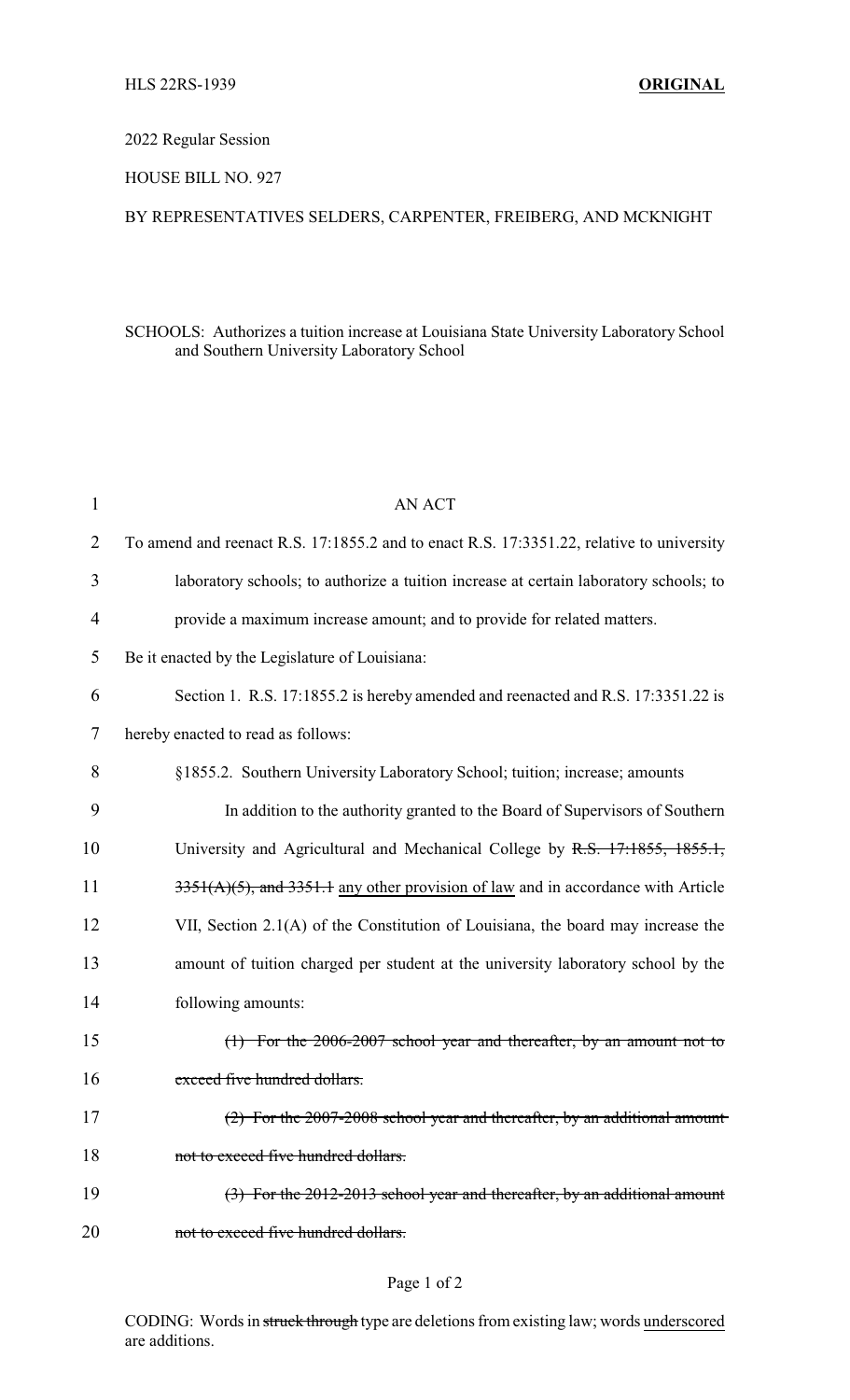### 2022 Regular Session

### HOUSE BILL NO. 927

## BY REPRESENTATIVES SELDERS, CARPENTER, FREIBERG, AND MCKNIGHT

### SCHOOLS: Authorizes a tuition increase at Louisiana State University Laboratory School and Southern University Laboratory School

| 1              | <b>AN ACT</b>                                                                            |
|----------------|------------------------------------------------------------------------------------------|
| 2              | To amend and reenact R.S. 17:1855.2 and to enact R.S. 17:3351.22, relative to university |
| 3              | laboratory schools; to authorize a tuition increase at certain laboratory schools; to    |
| $\overline{4}$ | provide a maximum increase amount; and to provide for related matters.                   |
| 5              | Be it enacted by the Legislature of Louisiana:                                           |
| 6              | Section 1. R.S. 17:1855.2 is hereby amended and reenacted and R.S. 17:3351.22 is         |
| 7              | hereby enacted to read as follows:                                                       |
| 8              | §1855.2. Southern University Laboratory School; tuition; increase; amounts               |
| 9              | In addition to the authority granted to the Board of Supervisors of Southern             |
| 10             | University and Agricultural and Mechanical College by R.S. 17:1855, 1855.1,              |
| 11             | 3351(A)(5), and 3351.1 any other provision of law and in accordance with Article         |
| 12             | VII, Section 2.1(A) of the Constitution of Louisiana, the board may increase the         |
| 13             | amount of tuition charged per student at the university laboratory school by the         |
| 14             | following amounts:                                                                       |
| 15             | $(1)$ For the 2006-2007 school year and thereafter, by an amount not to                  |
| 16             | exceed five hundred dollars.                                                             |
| 17             | (2) For the 2007-2008 school year and thereafter, by an additional amount                |
| 18             | not to exceed five hundred dollars.                                                      |
| 19             | $(3)$ For the 2012-2013 school year and thereafter, by an additional amount              |
| 20             | not to exceed five hundred dollars.                                                      |
|                |                                                                                          |

# Page 1 of 2

CODING: Words in struck through type are deletions from existing law; words underscored are additions.